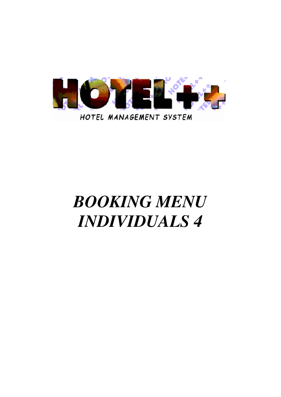

# *BOOKING MENU INDIVIDUALS 4*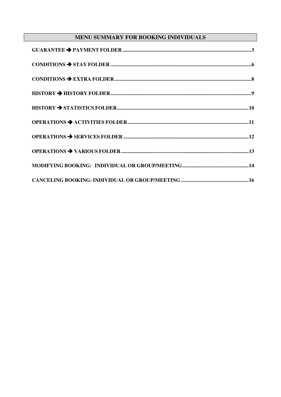# MENU SUMMARY FOR BOOKING INDIVIDUALS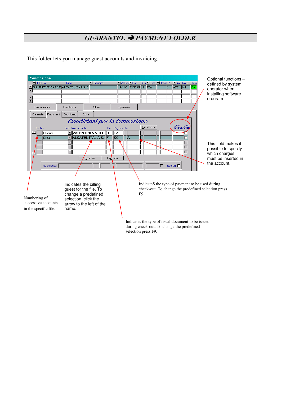# *GUARANTEE PAYMENT FOLDER*

This folder lets you manage guest accounts and invoicing.

| Prenotazione                                                                                                                                             |                                                                                                                                                                                                                                                                                                                      | Optional functions -                                                                                                                                                                                                                                                                                                                                                                       |
|----------------------------------------------------------------------------------------------------------------------------------------------------------|----------------------------------------------------------------------------------------------------------------------------------------------------------------------------------------------------------------------------------------------------------------------------------------------------------------------|--------------------------------------------------------------------------------------------------------------------------------------------------------------------------------------------------------------------------------------------------------------------------------------------------------------------------------------------------------------------------------------------|
| I Cliente<br><b>E VALENTINI MATILI ALCATEL ITALIA S.</b><br>$\frac{1}{2}$                                                                                | Ditta<br>$\Box$ Gruppo                                                                                                                                                                                                                                                                                               | Marrivo MPart. Q.ta MTipo MRoom Pre, MArr. Num. Stato<br>defined by system<br>19/11/01 22/12/01 1 BIA<br>$1$ APP $144$<br>GA<br>operator when<br>installing software<br>program                                                                                                                                                                                                            |
| Prenotazione<br>Pagamenti<br>Garanzia<br>Ordine<br>Cliente<br><b>Ditta</b><br>Automatica<br>Numbering of<br>successive accounts<br>in the specific file. | Condizioni<br>Storia<br>Soggiorno<br>Extra<br>Condizioni per la fatturazione<br>Intestatario Conto<br><b>FIVALENTINI MATILD R</b><br><b>FALCATEL ITALIA S.</b> F<br>Inserisci<br>Indicates the billing<br>guest for the file. To<br>change a predefined<br>selection, click the<br>arrow to the left of the<br>name. | Operativo<br>Tipo Iva<br>Esenz. Sosp<br>Condizioni<br>Doc. Pagamento<br>lCA<br><b>SO</b><br>W<br>г<br>г<br>This field makes it<br>г<br>possible to specify<br>г<br>which charges<br>must be inserted in<br>Cancella<br>the account.<br>$\Gamma$<br>Escludi <sup>[1]</sup><br>IndicateS the type of payment to be used during<br>check-out. To change the predefined selection press<br>F9. |
|                                                                                                                                                          |                                                                                                                                                                                                                                                                                                                      | Indicates the type of fiscal document to be issued<br>during check-out. To change the predefined                                                                                                                                                                                                                                                                                           |

selection press F9.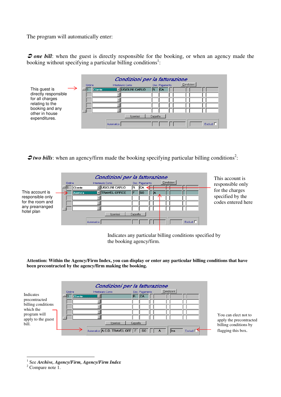The program will automatically enter:

*O* one bill: when the guest is directly responsible for the booking, or when an agency made the booking without specifying a particular billing conditions<sup>1</sup>:



**2** two bills: when an agency/firm made the booking specifying particular billing conditions<sup>2</sup>:



Indicates any particular billing conditions specified by the booking agency/firm.

**Attention: Within the Agency/Firm Index, you can display or enter any particular billing conditions that have been precontracted by the agency/firm making the booking.**



1 See *Archive, Agency/Firm, Agency/Firm Index*

<sup>&</sup>lt;sup>2</sup> Compare note 1.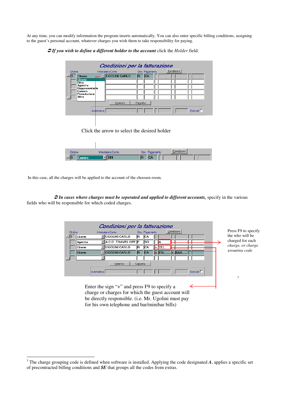At any time, you can modify information the program inserts automatically. You can also enter specific billing conditions, assigning to the guest's personal account, whatever charges you wish them to take responsibility for paying.

#### - *If you wish to define a different holder to the account* click the *Holder* field*.*



| Ordine | Intestatario Conto | Doc. Pagamento | Condizioni I |
|--------|--------------------|----------------|--------------|
|        | -----------        | II.            |              |

In this case, all the charges will be applied to the account of the choosen room.

- *In cases where charges must be seperated and applied to different accounts,* specify in the various fields who will be responsible for which coded charges.



Enter the sign "+" and press F9 to specify a charge or charges for which the guest account will be directly responsible. (i.e. Mr. Ugolini must pay for his own telephone and bar/minibar bills)

<sup>&</sup>lt;sup>3</sup> The charge grouping code is defined when software is installed. Applying the code designated *A*, applies a specific set of precontracted billing conditions and *\$E* that groups all the codes from extras.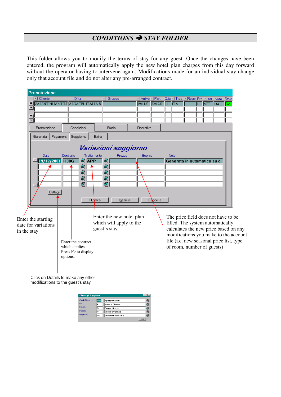## *CONDITIONS STAY FOLDER*

This folder allows you to modify the terms of stay for any guest. Once the changes have been entered, the program will automatically apply the new hotel plan charges from this day forward without the operator having to intervene again. Modifications made for an individual stay change only that account file and do not alter any pre-arranged contract.



Click on Details to make any other modifications to the guest's stay

| <b>35 Dettagli Soggiorno</b> |     |                           | $\blacksquare$ $\blacksquare$ $\times$ $\blacksquare$ |
|------------------------------|-----|---------------------------|-------------------------------------------------------|
| Canale Di Vendita            | AGE | Agenzie estere            | ø                                                     |
| Menu                         |     | Menu in Bianco            | E)                                                    |
| Mercato                      | lG  | Gruppi di serie           | ΘÌ                                                    |
| Prodotto                     | lP1 | Vecchia Venezia           | E)                                                    |
| Pagamento                    | lвo | <b>Bonificom bancario</b> | ΘÌ                                                    |
|                              |     |                           | Esci                                                  |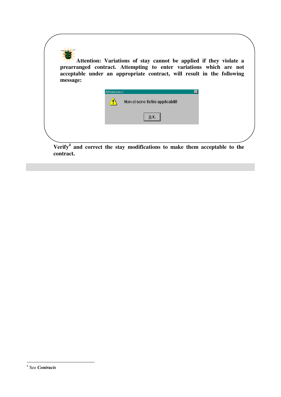

**contract.**

<sup>4</sup> See *Contracts*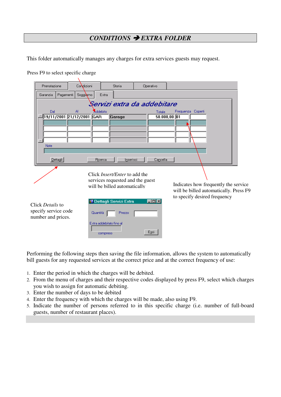# *CONDITIONS EXTRA FOLDER*

This folder automatically manages any charges for extra services guests may request.

| Prenotazione                                                   | Condizioni                                       | Storia                                                                                                   | Operativo                                                           |                                                                                                                |
|----------------------------------------------------------------|--------------------------------------------------|----------------------------------------------------------------------------------------------------------|---------------------------------------------------------------------|----------------------------------------------------------------------------------------------------------------|
| Pagamenti<br>Garanzia                                          | Soggierno<br>Extra                               |                                                                                                          |                                                                     |                                                                                                                |
| Dal<br>AI<br>19/11/2001 21/12/2001 GAR<br>Note<br>Dettagli     | Addebito<br>Ricerca                              | Garage<br>Inserisci                                                                                      | Servizi extra da addebitare<br>Totale<br>$50.000,00$ 01<br>Cancella | Frequenza Coperti                                                                                              |
|                                                                |                                                  | Click <i>Insert/Enter</i> to add the<br>services requested and the guest<br>will be billed automatically |                                                                     | Indicates how frequently the service<br>will be billed automatically. Press F9<br>to specify desired frequency |
| Click Details to<br>specify service code<br>number and prices. | Quantità<br>Extra addebitato fino al<br>compreso | Dettagli Servizi Extra<br>Prezzo                                                                         | $\blacksquare$ $\blacksquare$ $\times$<br>Esci                      |                                                                                                                |

Press F9 to select specific charge

Performing the following steps then saving the file information, allows the system to automatically bill guests for any requested services at the correct price and at the correct frequency of use:

- 1. Enter the period in which the charges will be debited.
- 2. From the menu of charges and their respective codes displayed by press F9, select which charges you wish to assign for automatic debiting.
- 3. Enter the number of days to be debited
- 4. Enter the frequency with which the charges will be made, also using F9.
- 5. Indicate the number of persons referred to in this specific charge (i.e. number of full-board guests, number of restaurant places).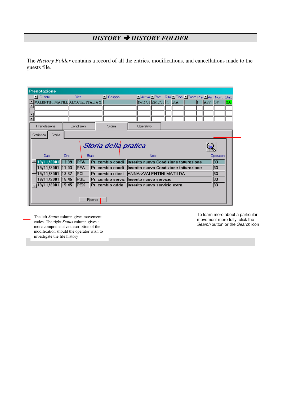# *HISTORY HISTORY FOLDER*

The *History Folder* contains a record of all the entries, modifications, and cancellations made to the guests file.

|                | Prenotazione                       |     |              |                |                                                           |                                                       |      |  |  |       |           |     |
|----------------|------------------------------------|-----|--------------|----------------|-----------------------------------------------------------|-------------------------------------------------------|------|--|--|-------|-----------|-----|
|                | Cliente                            |     | Ditta        |                | $\mathbb{Z}$ Gruppo                                       | MArrivo MPart. Q.ta MTipo MRoom Pre. MArr. Num. Stato |      |  |  |       |           |     |
|                | VALENTINI MATILE ALCATEL ITALIA S. |     |              |                |                                                           | 19/11/01 22/12/01 1 BIA                               |      |  |  | lapp. | 144       | GA. |
| ٠              |                                    |     |              |                |                                                           |                                                       |      |  |  |       |           |     |
| ▼              |                                    |     |              |                |                                                           |                                                       |      |  |  |       |           |     |
| $\overline{z}$ |                                    |     |              |                |                                                           |                                                       |      |  |  |       |           |     |
|                | Prenotazione                       |     | Condizioni   |                | Storia                                                    | Operativo                                             |      |  |  |       |           |     |
|                | Storia<br>Statistica               |     |              |                |                                                           |                                                       |      |  |  |       |           |     |
|                | Data                               | Ora | <b>Stato</b> |                | Storia della pratica                                      |                                                       | Note |  |  |       | Operatore |     |
|                | 19/11/2001 13:39                   |     | <b>PFA</b>   |                | Pr. cambio condi Inserita nuova Condizione fatturazione   |                                                       |      |  |  |       | 33        |     |
|                | 19/11/2001 11:03                   |     | <b>PFA</b>   |                | Pr. cambio condi   Inserita nuova Condizione fatturazione |                                                       |      |  |  |       | 33        |     |
|                | 19/11/2001 13:37                   |     | <b>PCL</b>   |                | Pr. cambio client ANNA->VALENTINI MATILDA                 |                                                       |      |  |  |       | 33        |     |
|                | $19/11/2001$ 15:45                 |     | <b>PSE</b>   |                | Pr. cambio serviz Inserito nuovo servizio                 |                                                       |      |  |  |       | 33        |     |
|                | 19/11/2001 15:45 PEX               |     |              |                | Pr. cambio adde   Inserito nuovo servizio extra           |                                                       |      |  |  |       | 33        |     |
|                |                                    |     |              | <b>Ricerca</b> |                                                           |                                                       |      |  |  |       |           |     |

The left *Status* column gives movement codes. The right *Status* column gives a more comprehensive description of the modification should the operator wish to investigate the file history

To learn more about a particular movement more fully, click the *Search* button or the *Search* icon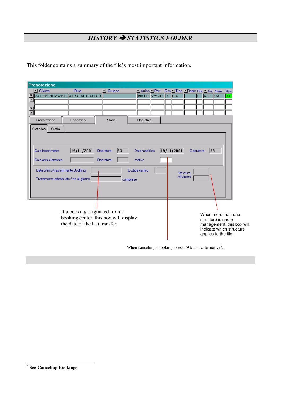# *HISTORY STATISTICS FOLDER*

This folder contains a summary of the file's most important information.

| Prenotazione     |                                                        |                                                                                                          |                              |                                                      |                         |            |                                         |           |                                                                                                                           |     |    |
|------------------|--------------------------------------------------------|----------------------------------------------------------------------------------------------------------|------------------------------|------------------------------------------------------|-------------------------|------------|-----------------------------------------|-----------|---------------------------------------------------------------------------------------------------------------------------|-----|----|
| I Cliente        |                                                        | Ditta                                                                                                    | $\mathbb{Z}$ Gruppo          |                                                      | ∐ Arrivo ∑ Part.        |            | Q.ta Tipo TiRoom Pre. TiArr. Num. Stato |           |                                                                                                                           |     |    |
|                  |                                                        | VALENTINI MATILI ALCATEL ITALIA S.                                                                       |                              |                                                      | 19/11/01 22/12/01 1 BIA |            |                                         |           | <b>APP</b>                                                                                                                | 144 | GА |
|                  |                                                        |                                                                                                          |                              |                                                      |                         |            |                                         |           |                                                                                                                           |     |    |
| ×.               |                                                        |                                                                                                          |                              |                                                      |                         |            |                                         |           |                                                                                                                           |     |    |
| Prenotazione     |                                                        | Condizioni                                                                                               | Storia                       | Operativo                                            |                         |            |                                         |           |                                                                                                                           |     |    |
| Statistica       | Storia                                                 |                                                                                                          |                              |                                                      |                         |            |                                         |           |                                                                                                                           |     |    |
| Data inserimento | Data annullamento<br>Data ultimo trasferimento Booking | 19/11/2001<br>Trattamento addebitato fino al giorno                                                      | 33<br>Operatore<br>Operatore | Data modifica<br>Motivo<br>Codice centro<br>compreso |                         | 19/11/2001 | Struttura<br>Allotment                  | Operatore | 33                                                                                                                        |     |    |
|                  |                                                        | If a booking originated from a<br>booking center, this box will display<br>the date of the last transfer |                              |                                                      |                         |            |                                         |           | When more than one<br>structure is under<br>management, this box will<br>indicate which structure<br>applies to the file. |     |    |

When canceling a booking, press F9 to indicate motive<sup>5</sup>.

<sup>5</sup> See **Canceling Bookings**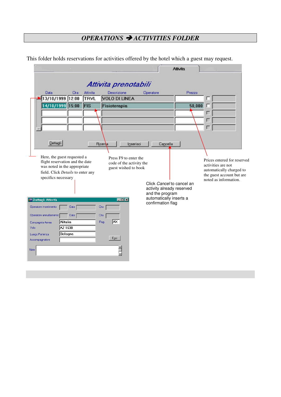# *OPERATIONS ACTIVITIES FOLDER*

This folder holds reservations for activities offered by the hotel which a guest may request.

|                                 | 13/10/1999 12:00                                                | TRVL | Descrizione<br><b>VOLO DI LINEA</b>              | Operatore                                  | Prezzo                    | г                                                     |
|---------------------------------|-----------------------------------------------------------------|------|--------------------------------------------------|--------------------------------------------|---------------------------|-------------------------------------------------------|
|                                 | 14/10/1999 15:00                                                | FIS  | Fisioterapia                                     |                                            | 50,000                    |                                                       |
|                                 |                                                                 |      |                                                  |                                            |                           | г                                                     |
|                                 |                                                                 |      |                                                  |                                            |                           | г                                                     |
| Dettagli                        |                                                                 |      |                                                  |                                            |                           |                                                       |
|                                 |                                                                 |      | <b>Hicerda</b>                                   | Inserisci<br>Cancella                      |                           |                                                       |
|                                 | Here, the guest requested a                                     |      | Press F9 to enter the                            |                                            |                           | Prices entered for reserved                           |
|                                 | flight reservation and the date<br>was noted in the appropriate |      | code of the activity the<br>guest wished to book |                                            |                           | activities are not                                    |
|                                 | field. Click Details to enter any                               |      |                                                  |                                            |                           | automatically charged to<br>the guest account but are |
|                                 | specifics necessary                                             |      |                                                  |                                            | Click Cancel to cancel an | noted as information.                                 |
|                                 |                                                                 |      |                                                  | activity already reserved                  |                           |                                                       |
|                                 |                                                                 |      |                                                  | and the program<br>automatically inserts a |                           |                                                       |
| <sup>55</sup> Dettagli Attività |                                                                 |      | $\Box$ o $\Box$                                  | confirmation flag                          |                           |                                                       |
| Operatore inserimento           | Data                                                            |      | Ora                                              |                                            |                           |                                                       |
| Operatore annullamento          | Data                                                            |      | Ora                                              |                                            |                           |                                                       |
| Compagnia Aerea                 | Alitalia<br>AZ 1638                                             |      | <b>Ax</b><br>Pag.                                |                                            |                           |                                                       |
| Volo<br>Luogo Partenza          | Bologna                                                         |      |                                                  |                                            |                           |                                                       |
| Accompagnatore                  |                                                                 |      | Esci                                             |                                            |                           |                                                       |
|                                 |                                                                 |      |                                                  |                                            |                           |                                                       |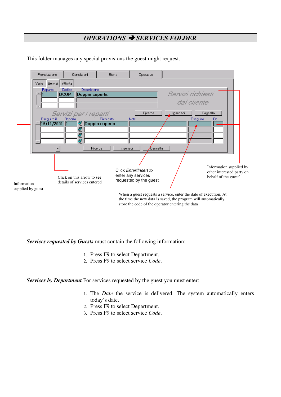## *OPERATIONS SERVICES FOLDER*

|                                  | Prenotazione                         | Condizioni                                                                                                | Storia                             | Operativo                                                                                                                 |                                |                                                                                                                                                                                                                    |  |
|----------------------------------|--------------------------------------|-----------------------------------------------------------------------------------------------------------|------------------------------------|---------------------------------------------------------------------------------------------------------------------------|--------------------------------|--------------------------------------------------------------------------------------------------------------------------------------------------------------------------------------------------------------------|--|
| Varie                            | Servizi                              | Attivita                                                                                                  |                                    |                                                                                                                           |                                |                                                                                                                                                                                                                    |  |
|                                  | Reparto<br>Eseguire il<br>19/11/2001 | Codice<br>Descrizione<br>DCOP<br>Doppia coperta<br>Servizi per i reparti<br><b>Reparto</b><br>4<br>4<br>≝ | Richiesta<br><b>Doppia coperta</b> | Ricerca<br>Note                                                                                                           | Servizi richiesti<br>Inserisci | dal cliente<br>Cancella<br>Esequito il<br>Da                                                                                                                                                                       |  |
|                                  |                                      |                                                                                                           | Ricerca<br>Inserisci               | Cancella                                                                                                                  |                                |                                                                                                                                                                                                                    |  |
| Information<br>supplied by guest |                                      | Click on this arrow to see<br>details of services entered                                                 |                                    | Click Enter/Insert to<br>enter any services<br>requested by the guest<br>store the code of the operator entering the data |                                | Information supplied by<br>other interested party on<br>behalf of the guest'<br>When a guest requests a service, enter the date of execution. At<br>the time the new data is saved, the program will automatically |  |

This folder manages any special provisions the guest might request.

*Services requested by Guests* must contain the following information:

- 1. Press F9 to select Department.
- 2. Press F9 to select service *Code*.

*Services by Department* For services requested by the guest you must enter:

- 1. The *Date* the service is delivered. The system automatically enters today's date.
- 2. Press F9 to select Department.
- 3. Press F9 to select service *Code*.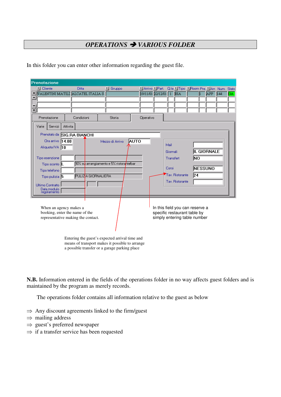# *OPERATIONS VARIOUS FOLDER*

In this folder you can enter other information regarding the guest file.

|   | Prenotazione                                                                                   |                                                                                                                                                    |                    |                                          |      |           |                         |           |                                                                                                 |    |             |     |       |
|---|------------------------------------------------------------------------------------------------|----------------------------------------------------------------------------------------------------------------------------------------------------|--------------------|------------------------------------------|------|-----------|-------------------------|-----------|-------------------------------------------------------------------------------------------------|----|-------------|-----|-------|
|   | ▼ Cliente                                                                                      | <b>Ditta</b>                                                                                                                                       |                    | <sup>1</sup> Gruppo                      |      |           | ∐ Arrivo ∐Part.         |           | Q.ta Tipo TRoom Pre. TArr. Num.                                                                 |    |             |     | State |
| ٠ | VALENTINI MATILI ALCATEL ITALIA S.                                                             |                                                                                                                                                    |                    |                                          |      |           | 19/11/01 22/12/01 1 BIA |           |                                                                                                 |    | APP         | 144 | GA.   |
|   |                                                                                                |                                                                                                                                                    |                    |                                          |      |           |                         |           |                                                                                                 |    |             |     |       |
|   |                                                                                                |                                                                                                                                                    |                    |                                          |      |           |                         |           |                                                                                                 |    |             |     |       |
| z |                                                                                                |                                                                                                                                                    |                    |                                          |      |           |                         |           |                                                                                                 |    |             |     |       |
|   | Prenotazione                                                                                   | Condizioni                                                                                                                                         |                    | Storia                                   |      | Operativo |                         |           |                                                                                                 |    |             |     |       |
|   | Varie<br>Servizi                                                                               | Attivita                                                                                                                                           |                    |                                          |      |           |                         |           |                                                                                                 |    |             |     |       |
|   | Prenotato da SIG.RA BIANCHI                                                                    |                                                                                                                                                    |                    |                                          |      |           |                         |           |                                                                                                 |    |             |     |       |
|   | Ora arrivo 14.00                                                                               |                                                                                                                                                    |                    | Mezzo di Arrivo                          | AUTO |           |                         |           |                                                                                                 |    |             |     |       |
|   | Aliquota IVA 10                                                                                |                                                                                                                                                    |                    |                                          |      |           |                         | Mail      |                                                                                                 |    |             |     |       |
|   |                                                                                                |                                                                                                                                                    |                    |                                          |      |           |                         | Giornali  |                                                                                                 |    | IL GIORNALE |     |       |
|   | Tipo esenzione                                                                                 |                                                                                                                                                    |                    |                                          |      |           |                         | Transfert |                                                                                                 | NΟ |             |     |       |
|   | Tipo sconto L                                                                                  |                                                                                                                                                    |                    | 10% su arrangiamento e 5% ristorantelbar |      |           |                         | Corsi     |                                                                                                 |    | NESSUNO     |     |       |
|   | Tipo telefono                                                                                  |                                                                                                                                                    |                    |                                          |      |           |                         |           |                                                                                                 |    |             |     |       |
|   | Tipo pulizia 5                                                                                 |                                                                                                                                                    | PULIZA GIORNALIERA |                                          |      |           |                         |           | Tav. Ristorante                                                                                 | 24 |             |     |       |
|   | Ultimo Contratto                                                                               |                                                                                                                                                    |                    |                                          |      |           |                         |           | Tav. Ristorante                                                                                 |    |             |     |       |
|   | Data modulo<br>regolamento                                                                     |                                                                                                                                                    |                    |                                          |      |           |                         |           |                                                                                                 |    |             |     |       |
|   |                                                                                                |                                                                                                                                                    |                    |                                          |      |           |                         |           |                                                                                                 |    |             |     |       |
|   | When an agency makes a<br>booking, enter the name of the<br>representative making the contact. |                                                                                                                                                    |                    |                                          |      |           |                         |           | In this field you can reserve a<br>specific restaurant table by<br>simply entering table number |    |             |     |       |
|   |                                                                                                | Entering the guest's expected arrival time and<br>means of transport makes it possible to arrange<br>a possible transfer or a garage parking place |                    |                                          |      |           |                         |           |                                                                                                 |    |             |     |       |

**N.B.** Information entered in the fields of the operations folder in no way affects guest folders and is maintained by the program as merely records.

The operations folder contains all information relative to the guest as below

- $\Rightarrow$  Any discount agreements linked to the firm/guest
- $\Rightarrow$  mailing address
- $\Rightarrow$  guest's preferred newspaper
- $\Rightarrow$  if a transfer service has been requested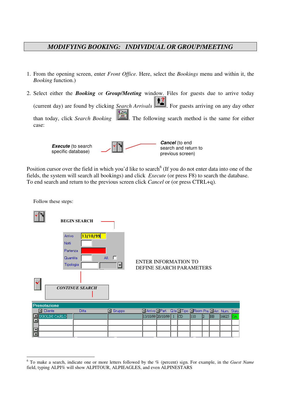## *MODIFYING BOOKING: INDIVIDUAL OR GROUP/MEETING*

- 1. From the opening screen, enter *Front Office.* Here, select the *Bookings* menu and within it, the *Booking* function.)
- 2. Select either the *Booking* or *Group/Meeting* window. Files for guests due to arrive today (current day) are found by clicking *Search Arrivals* **.** For guests arriving on any day other than today, click *Search Booking* . The following search method is the same for either case:



Position cursor over the field in which you'd like to search<sup>6</sup> (If you do not enter data into one of the fields, the system will search all bookings) and click *Execute* (or press F8) to search the database. To end search and return to the previous screen click *Cancel* or (or press CTRL+q).

Follow these steps:



<sup>6</sup> To make a search, indicate one or more letters followed by the % (percent) sign. For example, in the *Guest Name* field, typing ALPI% will show ALPITOUR, ALPIEAGLES, and even ALPINESTARS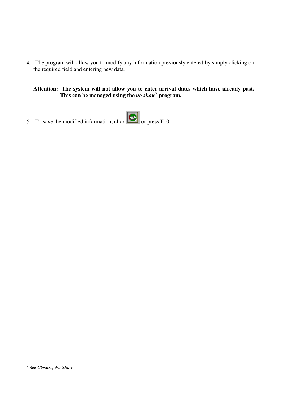4. The program will allow you to modify any information previously entered by simply clicking on the required field and entering new data.

**Attention: The system will not allow you to enter arrival dates which have already past. This can be managed using the** *no show 7* **program.**

5. To save the modified information, click  $\boxed{\phantom{\big|}\text{GWH}}$  or press F10.

<sup>7</sup> See *Closure, No Show*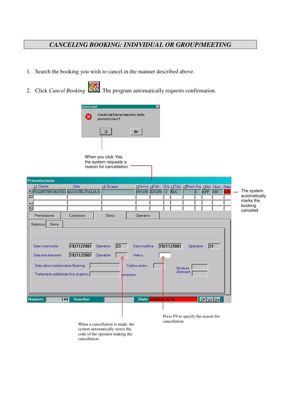# *CANCELING BOOKING: INDIVIDUAL OR GROUP/MEETING*

- 1. Search the booking you wish to cancel in the manner described above.
- 2. Click *Cancel Booking* . The program automatically requests confirmation.



When you click *Yes,* the system requests a reason for cancellation.

|                  | Prenotazione                          |                |                              |               |                         |            |                                           |            |  |                            |
|------------------|---------------------------------------|----------------|------------------------------|---------------|-------------------------|------------|-------------------------------------------|------------|--|----------------------------|
|                  | I Cliente                             | <b>Ditta</b>   | $\blacksquare$ Gruppo        | Arrivo Part   |                         |            | Q.ta   Tipo   Room Pre,   Arr. Num. Stato |            |  |                            |
|                  | VALENTINI MATILE ALCATEL ITALIA S.    |                |                              |               | 19/11/01 22/12/01 1 BIA |            |                                           | APP 144    |  | The system                 |
| $\blacktriangle$ |                                       |                |                              |               |                         |            |                                           |            |  | automatically<br>marks the |
|                  |                                       |                |                              |               |                         |            |                                           |            |  | booking                    |
| $\overline{z}$   |                                       |                |                              |               |                         |            |                                           |            |  | canceled                   |
|                  | Prenotazione                          | Condizioni     | Storia                       | Operativo     |                         |            |                                           |            |  |                            |
|                  | <b>Storia</b><br>Statistica           |                |                              |               |                         |            |                                           |            |  |                            |
|                  |                                       |                |                              |               |                         |            |                                           |            |  |                            |
|                  |                                       |                |                              |               |                         |            |                                           |            |  |                            |
|                  |                                       |                |                              |               |                         |            |                                           |            |  |                            |
|                  | Data inserimento                      | 19/11/2001     | $\overline{33}$<br>Operatore | Data modifica |                         | 19/11/2001 | Operatore                                 | 33         |  |                            |
|                  | Data annullamento                     | 19/11/2001     | Operatore                    | Motivo        |                         |            |                                           |            |  |                            |
|                  |                                       |                |                              |               |                         |            |                                           |            |  |                            |
|                  | Data ultimo trasferimento Booking     |                |                              | Codice centro |                         |            |                                           |            |  |                            |
|                  |                                       |                |                              |               |                         |            | Struttura<br>Allotment                    |            |  |                            |
|                  | Trattamento addebitato fino al giorno |                |                              | dompreso      |                         |            |                                           |            |  |                            |
|                  |                                       |                |                              |               |                         |            |                                           |            |  |                            |
|                  |                                       |                |                              |               |                         |            |                                           |            |  |                            |
|                  |                                       |                |                              |               |                         |            |                                           |            |  |                            |
|                  | <b>Numero</b>                         | Voucher<br>144 |                              |               | Stato <b>ANNULLATA</b>  |            |                                           | Off WL Gar |  |                            |
|                  |                                       |                |                              |               |                         |            |                                           |            |  |                            |
|                  |                                       |                |                              |               |                         |            |                                           |            |  |                            |
|                  |                                       |                |                              |               |                         |            | Press F9 to specify the reason for        |            |  |                            |

cancellation When <sup>a</sup> cancellation is made, the system automatically stores the code of the operator making the cancellation.

Press F9 to specify the reason for